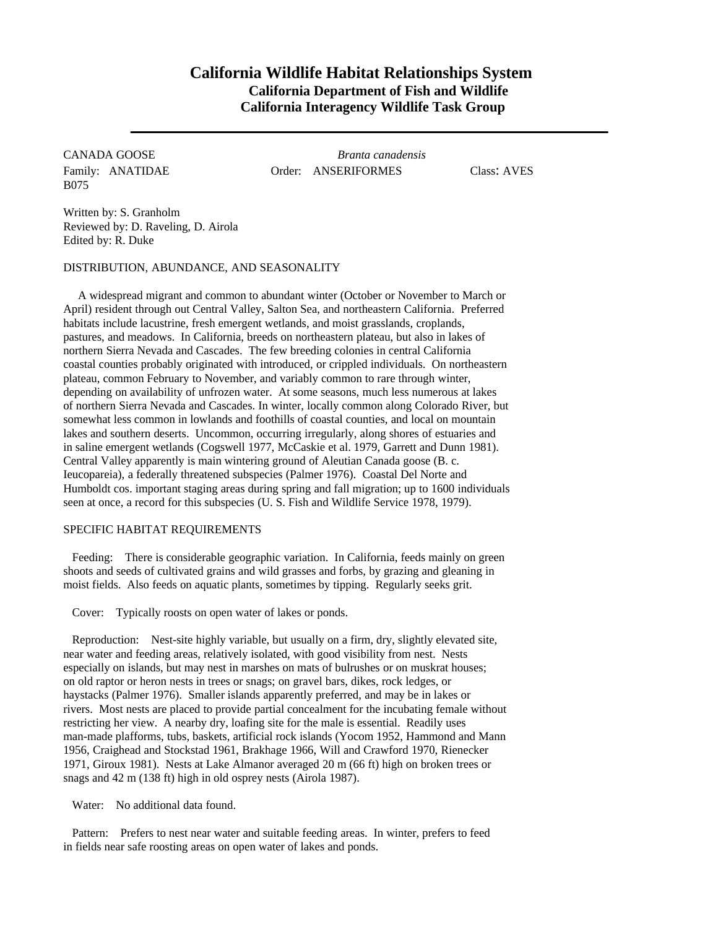## **California Wildlife Habitat Relationships System California Department of Fish and Wildlife California Interagency Wildlife Task Group**

B075

CANADA GOOSE *Branta canadensis* Family: ANATIDAE Order: ANSERIFORMES Class: AVES

Written by: S. Granholm Reviewed by: D. Raveling, D. Airola Edited by: R. Duke

DISTRIBUTION, ABUNDANCE, AND SEASONALITY

A widespread migrant and common to abundant winter (October or November to March or April) resident through out Central Valley, Salton Sea, and northeastern California. Preferred habitats include lacustrine, fresh emergent wetlands, and moist grasslands, croplands, pastures, and meadows. In California, breeds on northeastern plateau, but also in lakes of northern Sierra Nevada and Cascades. The few breeding colonies in central California coastal counties probably originated with introduced, or crippled individuals. On northeastern plateau, common February to November, and variably common to rare through winter, depending on availability of unfrozen water. At some seasons, much less numerous at lakes of northern Sierra Nevada and Cascades. In winter, locally common along Colorado River, but somewhat less common in lowlands and foothills of coastal counties, and local on mountain lakes and southern deserts. Uncommon, occurring irregularly, along shores of estuaries and in saline emergent wetlands (Cogswell 1977, McCaskie et al. 1979, Garrett and Dunn 1981). Central Valley apparently is main wintering ground of Aleutian Canada goose (B. c. Ieucopareia), a federally threatened subspecies (Palmer 1976). Coastal Del Norte and Humboldt cos. important staging areas during spring and fall migration; up to 1600 individuals seen at once, a record for this subspecies (U. S. Fish and Wildlife Service 1978, 1979).

## SPECIFIC HABITAT REQUIREMENTS

Feeding: There is considerable geographic variation. In California, feeds mainly on green shoots and seeds of cultivated grains and wild grasses and forbs, by grazing and gleaning in moist fields. Also feeds on aquatic plants, sometimes by tipping. Regularly seeks grit.

Cover: Typically roosts on open water of lakes or ponds.

Reproduction: Nest-site highly variable, but usually on a firm, dry, slightly elevated site, near water and feeding areas, relatively isolated, with good visibility from nest. Nests especially on islands, but may nest in marshes on mats of bulrushes or on muskrat houses; on old raptor or heron nests in trees or snags; on gravel bars, dikes, rock ledges, or haystacks (Palmer 1976). Smaller islands apparently preferred, and may be in lakes or rivers. Most nests are placed to provide partial concealment for the incubating female without restricting her view. A nearby dry, loafing site for the male is essential. Readily uses man-made plafforms, tubs, baskets, artificial rock islands (Yocom 1952, Hammond and Mann 1956, Craighead and Stockstad 1961, Brakhage 1966, Will and Crawford 1970, Rienecker 1971, Giroux 1981). Nests at Lake Almanor averaged 20 m (66 ft) high on broken trees or snags and 42 m (138 ft) high in old osprey nests (Airola 1987).

Water: No additional data found.

Pattern: Prefers to nest near water and suitable feeding areas. In winter, prefers to feed in fields near safe roosting areas on open water of lakes and ponds.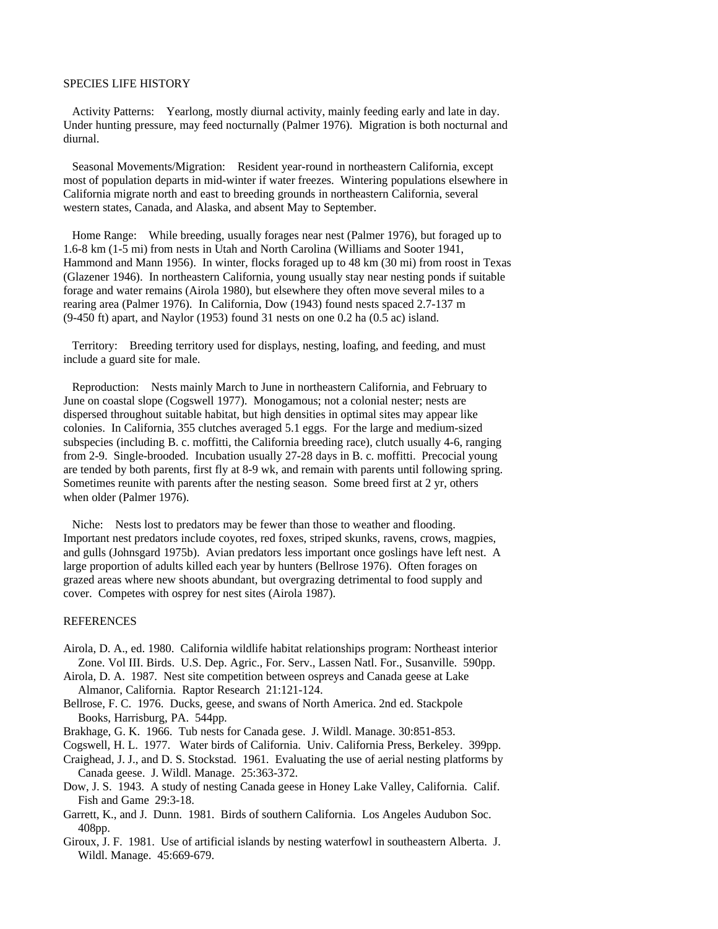## SPECIES LIFE HISTORY

Activity Patterns: Yearlong, mostly diurnal activity, mainly feeding early and late in day. Under hunting pressure, may feed nocturnally (Palmer 1976). Migration is both nocturnal and diurnal.

Seasonal Movements/Migration: Resident year-round in northeastern California, except most of population departs in mid-winter if water freezes. Wintering populations elsewhere in California migrate north and east to breeding grounds in northeastern California, several western states, Canada, and Alaska, and absent May to September.

Home Range: While breeding, usually forages near nest (Palmer 1976), but foraged up to 1.6-8 km (1-5 mi) from nests in Utah and North Carolina (Williams and Sooter 1941, Hammond and Mann 1956). In winter, flocks foraged up to 48 km (30 mi) from roost in Texas (Glazener 1946). In northeastern California, young usually stay near nesting ponds if suitable forage and water remains (Airola 1980), but elsewhere they often move several miles to a rearing area (Palmer 1976). In California, Dow (1943) found nests spaced 2.7-137 m (9-450 ft) apart, and Naylor (1953) found 31 nests on one 0.2 ha (0.5 ac) island.

Territory: Breeding territory used for displays, nesting, loafing, and feeding, and must include a guard site for male.

Reproduction: Nests mainly March to June in northeastern California, and February to June on coastal slope (Cogswell 1977). Monogamous; not a colonial nester; nests are dispersed throughout suitable habitat, but high densities in optimal sites may appear like colonies. In California, 355 clutches averaged 5.1 eggs. For the large and medium-sized subspecies (including B. c. moffitti, the California breeding race), clutch usually 4-6, ranging from 2-9. Single-brooded. Incubation usually 27-28 days in B. c. moffitti. Precocial young are tended by both parents, first fly at 8-9 wk, and remain with parents until following spring. Sometimes reunite with parents after the nesting season. Some breed first at 2 yr, others when older (Palmer 1976).

Niche: Nests lost to predators may be fewer than those to weather and flooding. Important nest predators include coyotes, red foxes, striped skunks, ravens, crows, magpies, and gulls (Johnsgard 1975b). Avian predators less important once goslings have left nest. A large proportion of adults killed each year by hunters (Bellrose 1976). Often forages on grazed areas where new shoots abundant, but overgrazing detrimental to food supply and cover. Competes with osprey for nest sites (Airola 1987).

## REFERENCES

- Airola, D. A., ed. 1980. California wildlife habitat relationships program: Northeast interior Zone. Vol III. Birds. U.S. Dep. Agric., For. Serv., Lassen Natl. For., Susanville. 590pp.
- Airola, D. A. 1987. Nest site competition between ospreys and Canada geese at Lake Almanor, California. Raptor Research 21:121-124.
- Bellrose, F. C. 1976. Ducks, geese, and swans of North America. 2nd ed. Stackpole Books, Harrisburg, PA. 544pp.
- Brakhage, G. K. 1966. Tub nests for Canada gese. J. Wildl. Manage. 30:851-853.
- Cogswell, H. L. 1977. Water birds of California. Univ. California Press, Berkeley. 399pp.
- Craighead, J. J., and D. S. Stockstad. 1961. Evaluating the use of aerial nesting platforms by Canada geese. J. Wildl. Manage. 25:363-372.
- Dow, J. S. 1943. A study of nesting Canada geese in Honey Lake Valley, California. Calif. Fish and Game 29:3-18.
- Garrett, K., and J. Dunn. 1981. Birds of southern California. Los Angeles Audubon Soc. 408pp.
- Giroux, J. F. 1981. Use of artificial islands by nesting waterfowl in southeastern Alberta. J. Wildl. Manage. 45:669-679.